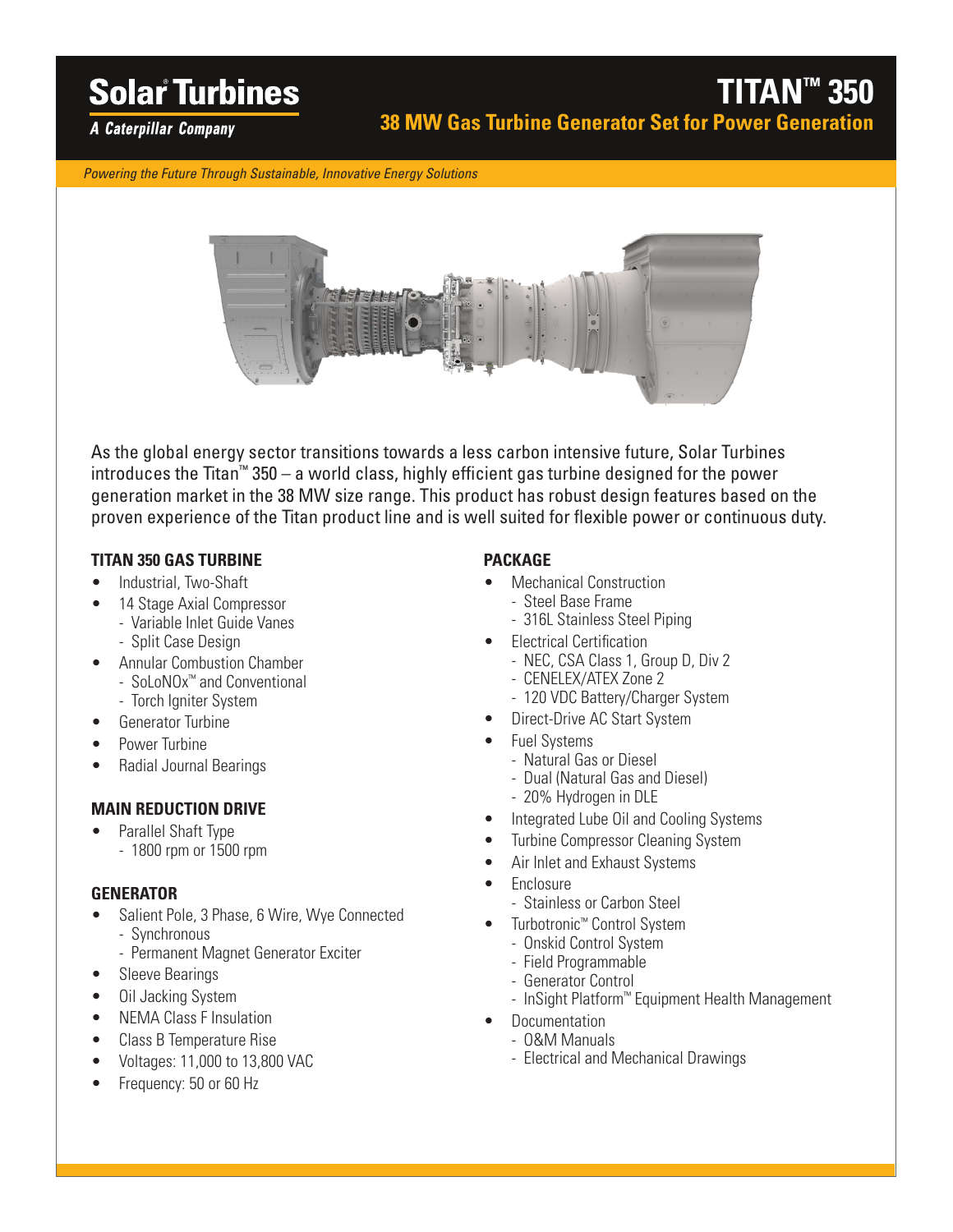# **Solar Turbines**

**A Caterpillar Company** 

*Powering the Future Through Sustainable, Innovative Energy Solutions*



As the global energy sector transitions towards a less carbon intensive future, Solar Turbines introduces the Titan™ 350 – a world class, highly efficient gas turbine designed for the power generation market in the 38 MW size range. This product has robust design features based on the proven experience of the Titan product line and is well suited for flexible power or continuous duty.

### **TITAN 350 GAS TURBINE**

- Industrial, Two-Shaft
- 14 Stage Axial Compressor
	- Variable Inlet Guide Vanes - Split Case Design
- Annular Combustion Chamber - SoLoNOx™ and Conventional
	- Torch Igniter System
- Generator Turbine
- Power Turbine
- Radial Journal Bearings

### **MAIN REDUCTION DRIVE**

• Parallel Shaft Type - 1800 rpm or 1500 rpm

### **GENERATOR**

- Salient Pole, 3 Phase, 6 Wire, Wye Connected - Synchronous
	- Permanent Magnet Generator Exciter
- Sleeve Bearings
- Oil Jacking System
- NEMA Class F Insulation
- Class B Temperature Rise
- Voltages: 11,000 to 13,800 VAC
- Frequency: 50 or 60 Hz

### **PACKAGE**

- Mechanical Construction
	- Steel Base Frame - 316L Stainless Steel Piping
- **Electrical Certification** 
	- NEC, CSA Class 1, Group D, Div 2
	- CENELEX/ATEX Zone 2
	- 120 VDC Battery/Charger System
- Direct-Drive AC Start System
- Fuel Systems
	- Natural Gas or Diesel
	- Dual (Natural Gas and Diesel)
	- 20% Hydrogen in DLE
	- Integrated Lube Oil and Cooling Systems
- Turbine Compressor Cleaning System
- Air Inlet and Exhaust Systems
- Enclosure
	- Stainless or Carbon Steel
- Turbotronic™ Control System
	- Onskid Control System
	- Field Programmable
	- Generator Control
- InSight Platform™ Equipment Health Management
- Documentation
	- O&M Manuals
	- Electrical and Mechanical Drawings